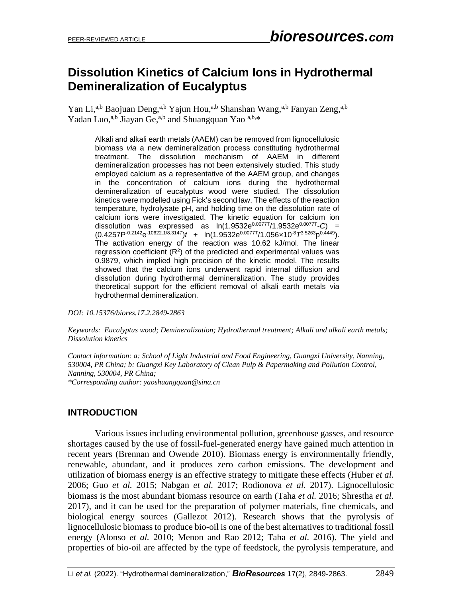# **Dissolution Kinetics of Calcium Ions in Hydrothermal Demineralization of Eucalyptus**

Yan Li,<sup>a,b</sup> Baojuan Deng,<sup>a,b</sup> Yajun Hou,<sup>a,b</sup> Shanshan Wang,<sup>a,b</sup> Fanyan Zeng,<sup>a,b</sup> Yadan Luo,<sup>a,b</sup> Jiayan Ge,<sup>a,b</sup> and Shuangquan Yao <sup>a,b,\*</sup>

Alkali and alkali earth metals (AAEM) can be removed from lignocellulosic biomass *via* a new demineralization process constituting hydrothermal treatment. The dissolution mechanism of AAEM in different demineralization processes has not been extensively studied. This study employed calcium as a representative of the AAEM group, and changes in the concentration of calcium ions during the hydrothermal demineralization of eucalyptus wood were studied. The dissolution kinetics were modelled using Fick's second law. The effects of the reaction temperature, hydrolysate pH, and holding time on the dissolution rate of calcium ions were investigated. The kinetic equation for calcium ion dissolution was expressed as  $ln(1.9532e^{0.0077T}/1.9532e^{0.0077T}-C)$  = (0.4257P-0.2142e -10622.1/8.314*T* )*t* + ln(1.9532e0.0077*<sup>T</sup>* /1.056×10-8*T* 3.5263p 0.4449). The activation energy of the reaction was 10.62 kJ/mol. The linear regression coefficient  $(R^2)$  of the predicted and experimental values was 0.9879, which implied high precision of the kinetic model. The results showed that the calcium ions underwent rapid internal diffusion and dissolution during hydrothermal demineralization. The study provides theoretical support for the efficient removal of alkali earth metals via hydrothermal demineralization.

*DOI: 10.15376/biores.17.2.2849-2863*

*Keywords: Eucalyptus wood; Demineralization; Hydrothermal treatment; Alkali and alkali earth metals; Dissolution kinetics*

*Contact information: a: School of Light Industrial and Food Engineering, Guangxi University, Nanning, 530004, PR China; b: Guangxi Key Laboratory of Clean Pulp & Papermaking and Pollution Control, Nanning, 530004, PR China; \*Corresponding author: yaoshuangquan@sina.cn*

## **INTRODUCTION**

Various issues including environmental pollution, greenhouse gasses, and resource shortages caused by the use of fossil-fuel-generated energy have gained much attention in recent years (Brennan and Owende 2010). Biomass energy is environmentally friendly, renewable, abundant, and it produces zero carbon emissions. The development and utilization of biomass energy is an effective strategy to mitigate these effects (Huber *et al.*  2006; Guo *et al.* 2015; Nabgan *et al.* 2017; Rodionova *et al.* 2017). Lignocellulosic biomass is the most abundant biomass resource on earth (Taha *et al.* 2016; Shrestha *et al.* 2017), and it can be used for the preparation of polymer materials, fine chemicals, and biological energy sources (Gallezot 2012). Research shows that the pyrolysis of lignocellulosic biomass to produce bio-oil is one of the best alternatives to traditional fossil energy (Alonso *et al.* 2010; Menon and Rao 2012; Taha *et al.* 2016). The yield and properties of bio-oil are affected by the type of feedstock, the pyrolysis temperature, and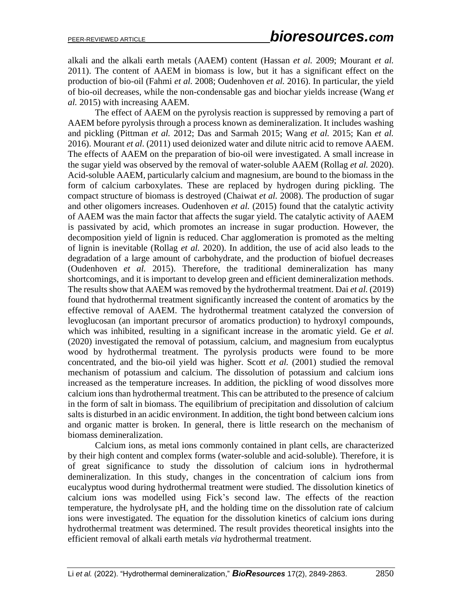alkali and the alkali earth metals (AAEM) content (Hassan *et al.* 2009; Mourant *et al.* 2011). The content of AAEM in biomass is low, but it has a significant effect on the production of bio-oil (Fahmi *et al.* 2008; Oudenhoven *et al.* 2016). In particular, the yield of bio-oil decreases, while the non-condensable gas and biochar yields increase (Wang *et al.* 2015) with increasing AAEM.

The effect of AAEM on the pyrolysis reaction is suppressed by removing a part of AAEM before pyrolysis through a process known as demineralization. It includes washing and pickling (Pittman *et al.* 2012; Das and Sarmah 2015; Wang *et al.* 2015; Kan *et al.*  2016). Mourant *et al*. (2011) used deionized water and dilute nitric acid to remove AAEM. The effects of AAEM on the preparation of bio-oil were investigated. A small increase in the sugar yield was observed by the removal of water-soluble AAEM (Rollag *et al.* 2020). Acid-soluble AAEM, particularly calcium and magnesium, are bound to the biomass in the form of calcium carboxylates. These are replaced by hydrogen during pickling. The compact structure of biomass is destroyed (Chaiwat *et al.* 2008). The production of sugar and other oligomers increases. Oudenhoven *et al.* (2015) found that the catalytic activity of AAEM was the main factor that affects the sugar yield. The catalytic activity of AAEM is passivated by acid, which promotes an increase in sugar production. However, the decomposition yield of lignin is reduced. Char agglomeration is promoted as the melting of lignin is inevitable (Rollag *et al.* 2020). In addition, the use of acid also leads to the degradation of a large amount of carbohydrate, and the production of biofuel decreases (Oudenhoven *et al.* 2015). Therefore, the traditional demineralization has many shortcomings, and it is important to develop green and efficient demineralization methods. The results show that AAEM was removed by the hydrothermal treatment. Dai *et al.* (2019) found that hydrothermal treatment significantly increased the content of aromatics by the effective removal of AAEM. The hydrothermal treatment catalyzed the conversion of levoglucosan (an important precursor of aromatics production) to hydroxyl compounds, which was inhibited, resulting in a significant increase in the aromatic yield. Ge *et al.* (2020) investigated the removal of potassium, calcium, and magnesium from eucalyptus wood by hydrothermal treatment. The pyrolysis products were found to be more concentrated, and the bio-oil yield was higher. Scott *et al.* (2001) studied the removal mechanism of potassium and calcium. The dissolution of potassium and calcium ions increased as the temperature increases. In addition, the pickling of wood dissolves more calcium ions than hydrothermal treatment. This can be attributed to the presence of calcium in the form of salt in biomass. The equilibrium of precipitation and dissolution of calcium salts is disturbed in an acidic environment. In addition, the tight bond between calcium ions and organic matter is broken. In general, there is little research on the mechanism of biomass demineralization.

Calcium ions, as metal ions commonly contained in plant cells, are characterized by their high content and complex forms (water-soluble and acid-soluble). Therefore, it is of great significance to study the dissolution of calcium ions in hydrothermal demineralization. In this study, changes in the concentration of calcium ions from eucalyptus wood during hydrothermal treatment were studied. The dissolution kinetics of calcium ions was modelled using Fick's second law. The effects of the reaction temperature, the hydrolysate pH, and the holding time on the dissolution rate of calcium ions were investigated. The equation for the dissolution kinetics of calcium ions during hydrothermal treatment was determined. The result provides theoretical insights into the efficient removal of alkali earth metals *via* hydrothermal treatment.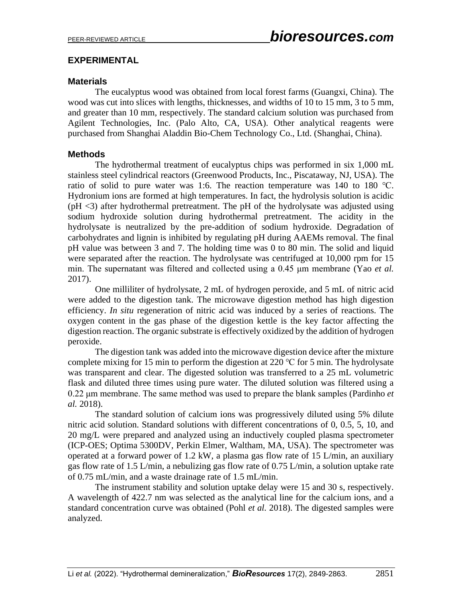# **EXPERIMENTAL**

# **Materials**

The eucalyptus wood was obtained from local forest farms (Guangxi, China). The wood was cut into slices with lengths, thicknesses, and widths of 10 to 15 mm, 3 to 5 mm, and greater than 10 mm, respectively. The standard calcium solution was purchased from Agilent Technologies, Inc. (Palo Alto, CA, USA). Other analytical reagents were purchased from Shanghai Aladdin Bio-Chem Technology Co., Ltd. (Shanghai, China).

# **Methods**

The hydrothermal treatment of eucalyptus chips was performed in six 1,000 mL stainless steel cylindrical reactors (Greenwood Products, Inc., Piscataway, NJ, USA). The ratio of solid to pure water was 1:6. The reaction temperature was 140 to 180 ℃. Hydronium ions are formed at high temperatures. In fact, the hydrolysis solution is acidic (pH <3) after hydrothermal pretreatment. The pH of the hydrolysate was adjusted using sodium hydroxide solution during hydrothermal pretreatment. The acidity in the hydrolysate is neutralized by the pre-addition of sodium hydroxide. Degradation of carbohydrates and lignin is inhibited by regulating pH during AAEMs removal. The final pH value was between 3 and 7. The holding time was 0 to 80 min. The solid and liquid were separated after the reaction. The hydrolysate was centrifuged at 10,000 rpm for 15 min. The supernatant was filtered and collected using a 0.45 μm membrane (Yao *et al.*  2017).

One milliliter of hydrolysate, 2 mL of hydrogen peroxide, and 5 mL of nitric acid were added to the digestion tank. The microwave digestion method has high digestion efficiency. *In situ* regeneration of nitric acid was induced by a series of reactions. The oxygen content in the gas phase of the digestion kettle is the key factor affecting the digestion reaction. The organic substrate is effectively oxidized by the addition of hydrogen peroxide.

The digestion tank was added into the microwave digestion device after the mixture complete mixing for 15 min to perform the digestion at 220  $\degree$ C for 5 min. The hydrolysate was transparent and clear. The digested solution was transferred to a 25 mL volumetric flask and diluted three times using pure water. The diluted solution was filtered using a 0.22 μm membrane. The same method was used to prepare the blank samples (Pardinho *et al.* 2018).

The standard solution of calcium ions was progressively diluted using 5% dilute nitric acid solution. Standard solutions with different concentrations of 0, 0.5, 5, 10, and 20 mg/L were prepared and analyzed using an inductively coupled plasma spectrometer (ICP-OES; Optima 5300DV, Perkin Elmer, Waltham, MA, USA). The spectrometer was operated at a forward power of 1.2 kW, a plasma gas flow rate of 15 L/min, an auxiliary gas flow rate of 1.5 L/min, a nebulizing gas flow rate of 0.75 L/min, a solution uptake rate of 0.75 mL/min, and a waste drainage rate of 1.5 mL/min.

The instrument stability and solution uptake delay were 15 and 30 s, respectively. A wavelength of 422.7 nm was selected as the analytical line for the calcium ions, and a standard concentration curve was obtained (Pohl *et al.* 2018). The digested samples were analyzed.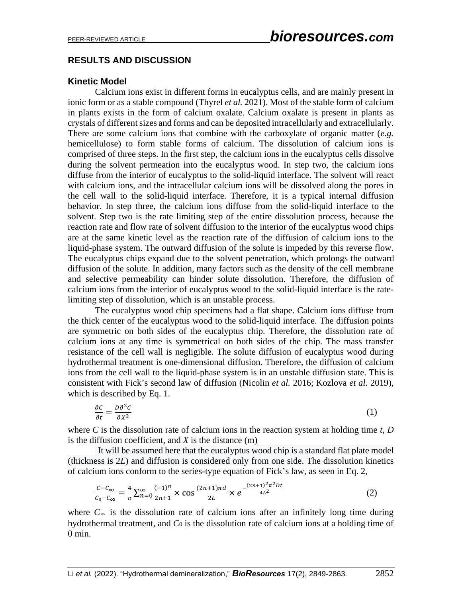# **RESULTS AND DISCUSSION**

# **Kinetic Model**

Calcium ions exist in different forms in eucalyptus cells, and are mainly present in ionic form or as a stable compound (Thyrel *et al.* 2021). Most of the stable form of calcium in plants exists in the form of calcium oxalate. Calcium oxalate is present in plants as crystals of different sizes and forms and can be deposited intracellularly and extracellularly. There are some calcium ions that combine with the carboxylate of organic matter (*e.g.* hemicellulose) to form stable forms of calcium. The dissolution of calcium ions is comprised of three steps. In the first step, the calcium ions in the eucalyptus cells dissolve during the solvent permeation into the eucalyptus wood. In step two, the calcium ions diffuse from the interior of eucalyptus to the solid-liquid interface. The solvent will react with calcium ions, and the intracellular calcium ions will be dissolved along the pores in the cell wall to the solid-liquid interface. Therefore, it is a typical internal diffusion behavior. In step three, the calcium ions diffuse from the solid-liquid interface to the solvent. Step two is the rate limiting step of the entire dissolution process, because the reaction rate and flow rate of solvent diffusion to the interior of the eucalyptus wood chips are at the same kinetic level as the reaction rate of the diffusion of calcium ions to the liquid-phase system. The outward diffusion of the solute is impeded by this reverse flow. The eucalyptus chips expand due to the solvent penetration, which prolongs the outward diffusion of the solute. In addition, many factors such as the density of the cell membrane and selective permeability can hinder solute dissolution. Therefore, the diffusion of calcium ions from the interior of eucalyptus wood to the solid-liquid interface is the ratelimiting step of dissolution, which is an unstable process.

The eucalyptus wood chip specimens had a flat shape. Calcium ions diffuse from the thick center of the eucalyptus wood to the solid-liquid interface. The diffusion points are symmetric on both sides of the eucalyptus chip. Therefore, the dissolution rate of calcium ions at any time is symmetrical on both sides of the chip. The mass transfer resistance of the cell wall is negligible. The solute diffusion of eucalyptus wood during hydrothermal treatment is one-dimensional diffusion. Therefore, the diffusion of calcium ions from the cell wall to the liquid-phase system is in an unstable diffusion state. This is consistent with Fick's second law of diffusion (Nicolin *et al.* 2016; Kozlova *et al.* 2019), which is described by Eq. 1.

$$
\frac{\partial c}{\partial t} = \frac{D\partial^2 c}{\partial x^2} \tag{1}
$$

where *C* is the dissolution rate of calcium ions in the reaction system at holding time *t*, *D* is the diffusion coefficient, and *X* is the distance (m)

It will be assumed here that the eucalyptus wood chip is a standard flat plate model (thickness is 2*L*) and diffusion is considered only from one side. The dissolution kinetics of calcium ions conform to the series-type equation of Fick's law, as seen in Eq. 2,

$$
\frac{c - c_{\infty}}{c_0 - c_{\infty}} = \frac{4}{\pi} \sum_{n=0}^{\infty} \frac{(-1)^n}{2n+1} \times \cos \frac{(2n+1)\pi d}{2L} \times e^{-\frac{(2n+1)^2 \pi^2 Dt}{4L^2}}
$$
(2)

where  $C<sub>∞</sub>$  is the dissolution rate of calcium ions after an infinitely long time during hydrothermal treatment, and *C*<sup>0</sup> is the dissolution rate of calcium ions at a holding time of  $0$  min.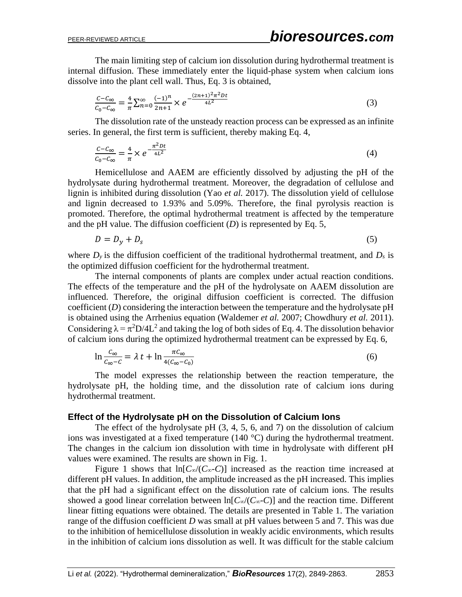The main limiting step of calcium ion dissolution during hydrothermal treatment is internal diffusion. These immediately enter the liquid-phase system when calcium ions dissolve into the plant cell wall. Thus, Eq. 3 is obtained,

$$
\frac{c - c_{\infty}}{c_0 - c_{\infty}} = \frac{4}{\pi} \sum_{n=0}^{\infty} \frac{(-1)^n}{2n+1} \times e^{-\frac{(2n+1)^2 \pi^2 Dt}{4L^2}}
$$
(3)

The dissolution rate of the unsteady reaction process can be expressed as an infinite series. In general, the first term is sufficient, thereby making Eq. 4,

$$
\frac{c - c_{\infty}}{c_0 - c_{\infty}} = \frac{4}{\pi} \times e^{-\frac{\pi^2 Dt}{4L^2}}
$$
\n<sup>(4)</sup>

Hemicellulose and AAEM are efficiently dissolved by adjusting the pH of the hydrolysate during hydrothermal treatment. Moreover, the degradation of cellulose and lignin is inhibited during dissolution (Yao *et al.* 2017). The dissolution yield of cellulose and lignin decreased to 1.93% and 5.09%. Therefore, the final pyrolysis reaction is promoted. Therefore, the optimal hydrothermal treatment is affected by the temperature and the pH value. The diffusion coefficient  $(D)$  is represented by Eq. 5,

$$
D = D_y + D_s \tag{5}
$$

where  $D_y$  is the diffusion coefficient of the traditional hydrothermal treatment, and  $D_s$  is the optimized diffusion coefficient for the hydrothermal treatment.

The internal components of plants are complex under actual reaction conditions. The effects of the temperature and the pH of the hydrolysate on AAEM dissolution are influenced. Therefore, the original diffusion coefficient is corrected. The diffusion coefficient (*D*) considering the interaction between the temperature and the hydrolysate pH is obtained using the Arrhenius equation (Waldemer *et al.* 2007; Chowdhury *et al.* 2011). Considering  $\lambda = \pi^2 D/4L^2$  and taking the log of both sides of Eq. 4. The dissolution behavior of calcium ions during the optimized hydrothermal treatment can be expressed by Eq. 6,

$$
\ln \frac{c_{\infty}}{c_{\infty} - c} = \lambda t + \ln \frac{\pi c_{\infty}}{4(c_{\infty} - c_0)}
$$
(6)

The model expresses the relationship between the reaction temperature, the hydrolysate pH, the holding time, and the dissolution rate of calcium ions during hydrothermal treatment.

#### **Effect of the Hydrolysate pH on the Dissolution of Calcium Ions**

The effect of the hydrolysate pH  $(3, 4, 5, 6,$  and  $7)$  on the dissolution of calcium ions was investigated at a fixed temperature (140 °C) during the hydrothermal treatment. The changes in the calcium ion dissolution with time in hydrolysate with different pH values were examined. The results are shown in Fig. 1.

Figure 1 shows that  $\ln[C_{\infty}/(C_{\infty}-C)]$  increased as the reaction time increased at different pH values. In addition, the amplitude increased as the pH increased. This implies that the pH had a significant effect on the dissolution rate of calcium ions. The results showed a good linear correlation between  $\ln[C_{\infty}/(C_{\infty}-C)]$  and the reaction time. Different linear fitting equations were obtained. The details are presented in Table 1. The variation range of the diffusion coefficient *D* was small at pH values between 5 and 7. This was due to the inhibition of hemicellulose dissolution in weakly acidic environments, which results in the inhibition of calcium ions dissolution as well. It was difficult for the stable calcium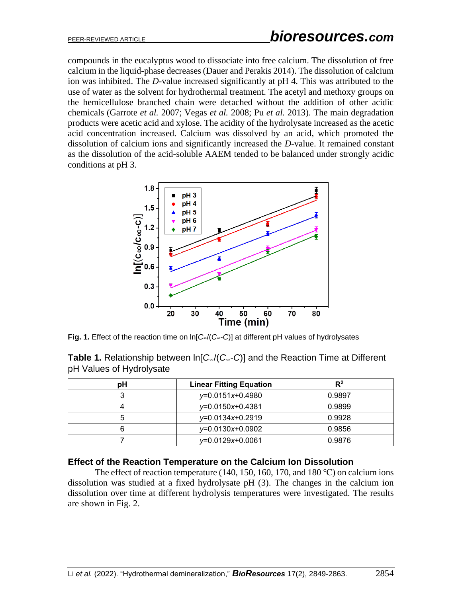compounds in the eucalyptus wood to dissociate into free calcium. The dissolution of free calcium in the liquid-phase decreases (Dauer and Perakis 2014). The dissolution of calcium ion was inhibited. The *D*-value increased significantly at pH 4. This was attributed to the use of water as the solvent for hydrothermal treatment. The acetyl and methoxy groups on the hemicellulose branched chain were detached without the addition of other acidic chemicals (Garrote *et al.* 2007; Vegas *et al.* 2008; Pu *et al.* 2013). The main degradation products were acetic acid and xylose. The acidity of the hydrolysate increased as the acetic acid concentration increased. Calcium was dissolved by an acid, which promoted the dissolution of calcium ions and significantly increased the *D*-value. It remained constant as the dissolution of the acid-soluble AAEM tended to be balanced under strongly acidic conditions at pH 3.



**Fig. 1.** Effect of the reaction time on ln[*C*∞/(*C*∞-*C*)] at different pH values of hydrolysates

|                          | <b>Table 1.</b> Relationship between $\ln[C_{\infty}/(C_{\infty}-C)]$ and the Reaction Time at Different |  |  |
|--------------------------|----------------------------------------------------------------------------------------------------------|--|--|
| pH Values of Hydrolysate |                                                                                                          |  |  |

| рH | <b>Linear Fitting Equation</b> | $R^2$  |  |
|----|--------------------------------|--------|--|
|    | y=0.0151x+0.4980               | 0.9897 |  |
|    | $y=0.0150x+0.4381$             | 0.9899 |  |
|    | y=0.0134x+0.2919               | 0.9928 |  |
|    | $y=0.0130x+0.0902$             | 0.9856 |  |
|    | $y=0.0129x+0.0061$             | 0.9876 |  |

#### **Effect of the Reaction Temperature on the Calcium Ion Dissolution**

The effect of reaction temperature (140, 150, 160, 170, and 180 °C) on calcium ions dissolution was studied at a fixed hydrolysate pH (3). The changes in the calcium ion dissolution over time at different hydrolysis temperatures were investigated. The results are shown in Fig. 2.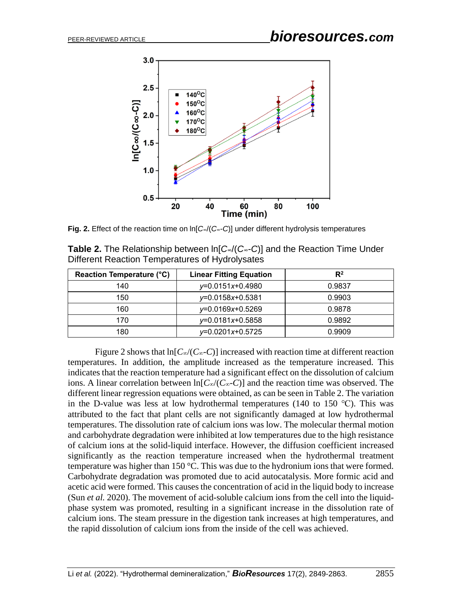

**Fig. 2.** Effect of the reaction time on ln[*C*∞/(*C*∞-*C*)] under different hydrolysis temperatures

| <b>Table 2.</b> The Relationship between $\ln[C_{\infty}/(C_{\infty}-C)]$ and the Reaction Time Under |  |
|-------------------------------------------------------------------------------------------------------|--|
| Different Reaction Temperatures of Hydrolysates                                                       |  |

| Reaction Temperature (°C) | <b>Linear Fitting Equation</b> | $R^2$  |  |
|---------------------------|--------------------------------|--------|--|
| 140                       | y=0.0151x+0.4980               | 0.9837 |  |
| 150                       | y=0.0158x+0.5381               | 0.9903 |  |
| 160                       | y=0.0169x+0.5269               | 0.9878 |  |
| 170                       | y=0.0181x+0.5858               | 0.9892 |  |
| 180                       | $y=0.0201x+0.5725$             | 0.9909 |  |

Figure 2 shows that  $ln[C_{\infty}/(C_{\infty}-C)]$  increased with reaction time at different reaction temperatures. In addition, the amplitude increased as the temperature increased. This indicates that the reaction temperature had a significant effect on the dissolution of calcium ions. A linear correlation between ln[*C*∞/(*C*∞-*C*)] and the reaction time was observed. The different linear regression equations were obtained, as can be seen in Table 2. The variation in the D-value was less at low hydrothermal temperatures (140 to 150  $°C$ ). This was attributed to the fact that plant cells are not significantly damaged at low hydrothermal temperatures. The dissolution rate of calcium ions was low. The molecular thermal motion and carbohydrate degradation were inhibited at low temperatures due to the high resistance of calcium ions at the solid-liquid interface. However, the diffusion coefficient increased significantly as the reaction temperature increased when the hydrothermal treatment temperature was higher than 150 °C. This was due to the hydronium ions that were formed. Carbohydrate degradation was promoted due to acid autocatalysis. More formic acid and acetic acid were formed. This causes the concentration of acid in the liquid body to increase (Sun *et al.* 2020). The movement of acid-soluble calcium ions from the cell into the liquidphase system was promoted, resulting in a significant increase in the dissolution rate of calcium ions. The steam pressure in the digestion tank increases at high temperatures, and the rapid dissolution of calcium ions from the inside of the cell was achieved.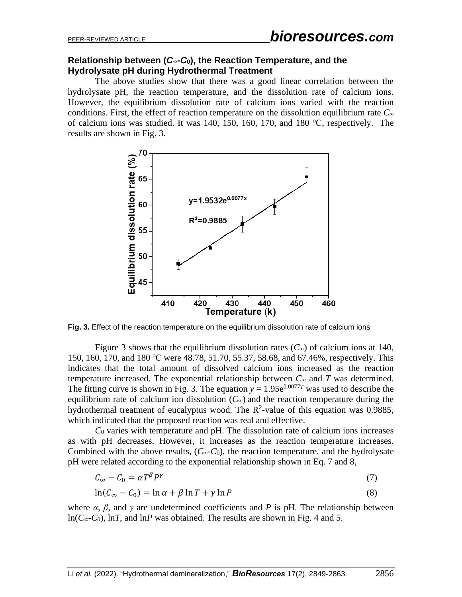## **Relationship between (***C***∞-***C***0), the Reaction Temperature, and the Hydrolysate pH during Hydrothermal Treatment**

The above studies show that there was a good linear correlation between the hydrolysate pH, the reaction temperature, and the dissolution rate of calcium ions. However, the equilibrium dissolution rate of calcium ions varied with the reaction conditions. First, the effect of reaction temperature on the dissolution equilibrium rate *C*<sup>∞</sup> of calcium ions was studied. It was 140, 150, 160, 170, and 180 ℃, respectively. The results are shown in Fig. 3.



**Fig. 3.** Effect of the reaction temperature on the equilibrium dissolution rate of calcium ions

Figure 3 shows that the equilibrium dissolution rates ( $C_{\infty}$ ) of calcium ions at 140, 150, 160, 170, and 180 ℃ were 48.78, 51.70, 55.37, 58.68, and 67.46%, respectively. This indicates that the total amount of dissolved calcium ions increased as the reaction temperature increased. The exponential relationship between  $C_{\infty}$  and  $T$  was determined. The fitting curve is shown in Fig. 3. The equation  $y = 1.95e^{0.0077T}$  was used to describe the equilibrium rate of calcium ion dissolution  $(C_{\infty})$  and the reaction temperature during the hydrothermal treatment of eucalyptus wood. The  $R^2$ -value of this equation was 0.9885, which indicated that the proposed reaction was real and effective.

*C*<sup>0</sup> varies with temperature and pH. The dissolution rate of calcium ions increases as with pH decreases. However, it increases as the reaction temperature increases. Combined with the above results,  $(C_{\infty}-C_0)$ , the reaction temperature, and the hydrolysate pH were related according to the exponential relationship shown in Eq. 7 and 8,

$$
C_{\infty} - C_0 = \alpha T^{\beta} P^{\gamma} \tag{7}
$$

$$
\ln(C_{\infty} - C_0) = \ln \alpha + \beta \ln T + \gamma \ln P \tag{8}
$$

where  $\alpha$ ,  $\beta$ , and  $\gamma$  are undetermined coefficients and P is pH. The relationship between ln(*C∞-C0*), ln*T*, and ln*P* was obtained. The results are shown in Fig. 4 and 5.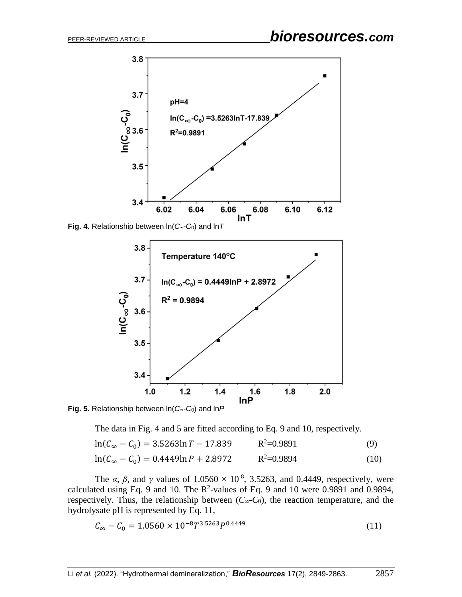

**Fig. 4.** Relationship between ln(*C*∞-*C*0) and ln*T*



**Fig. 5.** Relationship between ln(*C*∞-*C*0) and ln*P*

The data in Fig. 4 and 5 are fitted according to Eq. 9 and 10, respectively.

$$
\ln(C_{\infty} - C_0) = 3.5263 \ln T - 17.839 \qquad R^2 = 0.9891 \tag{9}
$$

$$
\ln(C_{\infty} - C_0) = 0.4449 \ln P + 2.8972 \qquad R^2 = 0.9894 \tag{10}
$$

The  $\alpha$ ,  $\beta$ , and  $\gamma$  values of  $1.0560 \times 10^{-8}$ , 3.5263, and 0.4449, respectively, were calculated using Eq. 9 and 10. The  $R^2$ -values of Eq. 9 and 10 were 0.9891 and 0.9894, respectively. Thus, the relationship between  $(C_{\infty}-C_0)$ , the reaction temperature, and the hydrolysate pH is represented by Eq. 11,

$$
C_{\infty} - C_0 = 1.0560 \times 10^{-8} T^{3.5263} P^{0.4449}
$$
\n(11)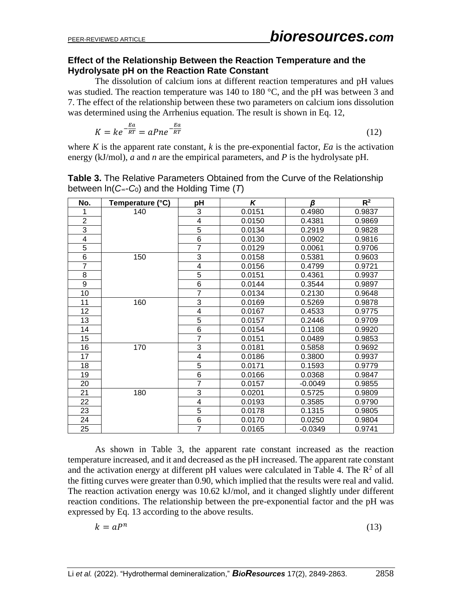## **Effect of the Relationship Between the Reaction Temperature and the Hydrolysate pH on the Reaction Rate Constant**

The dissolution of calcium ions at different reaction temperatures and pH values was studied. The reaction temperature was 140 to 180 °C, and the pH was between 3 and 7. The effect of the relationship between these two parameters on calcium ions dissolution was determined using the Arrhenius equation. The result is shown in Eq. 12,

$$
K = ke^{-\frac{Ea}{RT}} = aPne^{-\frac{Ea}{RT}}
$$
\n
$$
(12)
$$

where  $K$  is the apparent rate constant,  $k$  is the pre-exponential factor,  $E_a$  is the activation energy (kJ/mol), *a* and *n* are the empirical parameters, and *P* is the hydrolysate pH.

| No.            | Temperature (°C) | рH                      | K      | β         | $R^2$  |
|----------------|------------------|-------------------------|--------|-----------|--------|
|                | 140              | 3                       | 0.0151 | 0.4980    | 0.9837 |
| $\overline{2}$ |                  | 4                       | 0.0150 | 0.4381    | 0.9869 |
| 3              |                  | $\overline{5}$          | 0.0134 | 0.2919    | 0.9828 |
| 4              |                  | $\frac{6}{7}$           | 0.0130 | 0.0902    | 0.9816 |
| $\overline{5}$ |                  |                         | 0.0129 | 0.0061    | 0.9706 |
| 6              | 150              | 3                       | 0.0158 | 0.5381    | 0.9603 |
| $\overline{7}$ |                  | 4                       | 0.0156 | 0.4799    | 0.9721 |
| 8              |                  | $\overline{5}$          | 0.0151 | 0.4361    | 0.9937 |
| 9              |                  | $\,6$                   | 0.0144 | 0.3544    | 0.9897 |
| 10             |                  | $\overline{7}$          | 0.0134 | 0.2130    | 0.9648 |
| 11             | 160              | 3                       | 0.0169 | 0.5269    | 0.9878 |
| 12             |                  | $\overline{\mathbf{4}}$ | 0.0167 | 0.4533    | 0.9775 |
| 13             |                  | 5                       | 0.0157 | 0.2446    | 0.9709 |
| 14             |                  | $\,6$                   | 0.0154 | 0.1108    | 0.9920 |
| 15             |                  | $\overline{7}$          | 0.0151 | 0.0489    | 0.9853 |
| 16             | 170              | $\overline{3}$          | 0.0181 | 0.5858    | 0.9692 |
| 17             |                  | $\overline{\mathbf{4}}$ | 0.0186 | 0.3800    | 0.9937 |
| 18             |                  | 5                       | 0.0171 | 0.1593    | 0.9779 |
| 19             |                  | $\overline{6}$          | 0.0166 | 0.0368    | 0.9847 |
| 20             |                  | $\overline{7}$          | 0.0157 | $-0.0049$ | 0.9855 |
| 21             | 180              | $\overline{3}$          | 0.0201 | 0.5725    | 0.9809 |
| 22             |                  | $\overline{\mathbf{4}}$ | 0.0193 | 0.3585    | 0.9790 |
| 23             |                  | 5                       | 0.0178 | 0.1315    | 0.9805 |
| 24             |                  | 6                       | 0.0170 | 0.0250    | 0.9804 |
| 25             |                  | $\overline{7}$          | 0.0165 | $-0.0349$ | 0.9741 |

**Table 3.** The Relative Parameters Obtained from the Curve of the Relationship between ln(*C*∞-*C*0) and the Holding Time (*T*)

As shown in Table 3, the apparent rate constant increased as the reaction temperature increased, and it and decreased as the pH increased. The apparent rate constant and the activation energy at different pH values were calculated in Table 4. The  $\mathbb{R}^2$  of all the fitting curves were greater than 0.90, which implied that the results were real and valid. The reaction activation energy was 10.62 kJ/mol, and it changed slightly under different reaction conditions. The relationship between the pre-exponential factor and the pH was expressed by Eq. 13 according to the above results.

$$
k = aP^n \tag{13}
$$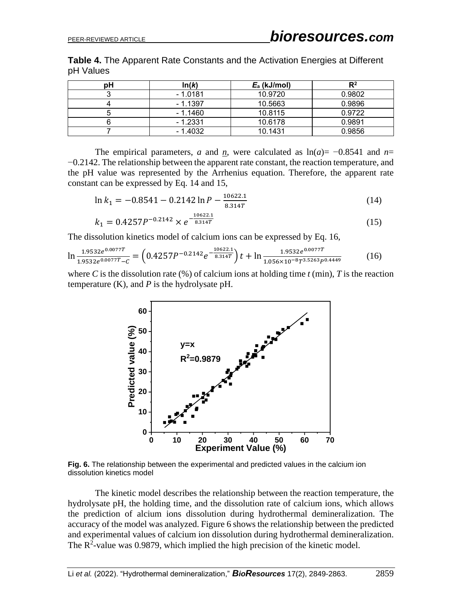**Table 4.** The Apparent Rate Constants and the Activation Energies at Different pH Values

| pН | ln(k)     | $E_a$ (kJ/mol) | R2     |
|----|-----------|----------------|--------|
|    | $-1.0181$ | 10.9720        | 0.9802 |
|    | $-1.1397$ | 10.5663        | 0.9896 |
|    | $-1.1460$ | 10.8115        | 0.9722 |
|    | $-1.2331$ | 10.6178        | 0.9891 |
|    | $-1.4032$ | 10.1431        | 0.9856 |

The empirical parameters, *a* and <u>*n*</u>, were calculated as  $ln(a) = -0.8541$  and *n*= −0.2142. The relationship between the apparent rate constant, the reaction temperature, and the pH value was represented by the Arrhenius equation. Therefore, the apparent rate constant can be expressed by Eq. 14 and 15,

$$
\ln k_1 = -0.8541 - 0.2142 \ln P - \frac{10622.1}{8.314T}
$$
 (14)

$$
k_1 = 0.4257P^{-0.2142} \times e^{-\frac{10622.1}{8.314T}}
$$
\n
$$
(15)
$$

The dissolution kinetics model of calcium ions can be expressed by Eq. 16,

 $10622$ 

$$
\ln \frac{1.9532e^{0.0077T}}{1.9532e^{0.0077T} - c} = \left(0.4257P^{-0.2142}e^{-\frac{10622.1}{8.314T}}\right)t + \ln \frac{1.9532e^{0.0077T}}{1.056 \times 10^{-8}T^{3.5263}P^{0.4449}}\tag{16}
$$

where *C* is the dissolution rate  $(\%)$  of calcium ions at holding time *t* (min), *T* is the reaction temperature  $(K)$ , and  $P$  is the hydrolysate pH.



**Fig. 6.** The relationship between the experimental and predicted values in the calcium ion dissolution kinetics model

The kinetic model describes the relationship between the reaction temperature, the hydrolysate pH, the holding time, and the dissolution rate of calcium ions, which allows the prediction of alcium ions dissolution during hydrothermal demineralization. The accuracy of the model was analyzed. Figure 6 shows the relationship between the predicted and experimental values of calcium ion dissolution during hydrothermal demineralization. The  $R^2$ -value was 0.9879, which implied the high precision of the kinetic model.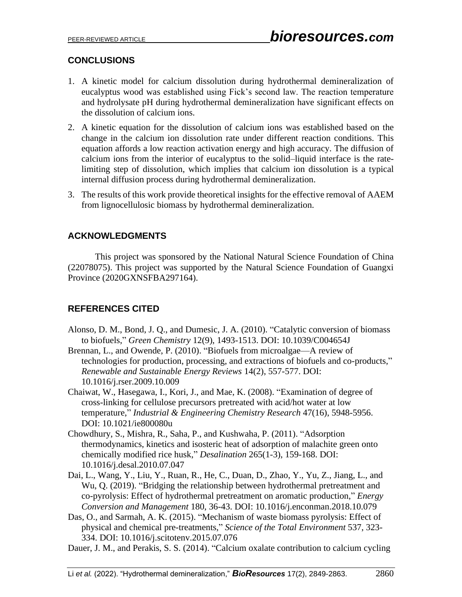# **CONCLUSIONS**

- 1. A kinetic model for calcium dissolution during hydrothermal demineralization of eucalyptus wood was established using Fick's second law. The reaction temperature and hydrolysate pH during hydrothermal demineralization have significant effects on the dissolution of calcium ions.
- 2. A kinetic equation for the dissolution of calcium ions was established based on the change in the calcium ion dissolution rate under different reaction conditions. This equation affords a low reaction activation energy and high accuracy. The diffusion of calcium ions from the interior of eucalyptus to the solid–liquid interface is the ratelimiting step of dissolution, which implies that calcium ion dissolution is a typical internal diffusion process during hydrothermal demineralization.
- 3. The results of this work provide theoretical insights for the effective removal of AAEM from lignocellulosic biomass by hydrothermal demineralization.

# **ACKNOWLEDGMENTS**

This project was sponsored by the National Natural Science Foundation of China (22078075). This project was supported by the Natural Science Foundation of Guangxi Province (2020GXNSFBA297164).

# **REFERENCES CITED**

- Alonso, D. M., Bond, J. Q., and Dumesic, J. A. (2010). "Catalytic conversion of biomass to biofuels," *Green Chemistry* 12(9), 1493-1513. DOI: 10.1039/C004654J
- Brennan, L., and Owende, P. (2010). "Biofuels from microalgae—A review of technologies for production, processing, and extractions of biofuels and co-products," *Renewable and Sustainable Energy Reviews* 14(2), 557-577. DOI: 10.1016/j.rser.2009.10.009
- Chaiwat, W., Hasegawa, I., Kori, J., and Mae, K. (2008). "Examination of degree of cross-linking for cellulose precursors pretreated with acid/hot water at low temperature," *Industrial & Engineering Chemistry Research* 47(16), 5948-5956. DOI: 10.1021/ie800080u
- Chowdhury, S., Mishra, R., Saha, P., and Kushwaha, P. (2011). "Adsorption thermodynamics, kinetics and isosteric heat of adsorption of malachite green onto chemically modified rice husk," *Desalination* 265(1-3), 159-168. DOI: 10.1016/j.desal.2010.07.047
- Dai, L., Wang, Y., Liu, Y., Ruan, R., He, C., Duan, D., Zhao, Y., Yu, Z., Jiang, L., and Wu, Q. (2019). "Bridging the relationship between hydrothermal pretreatment and co-pyrolysis: Effect of hydrothermal pretreatment on aromatic production," *Energy Conversion and Management* 180, 36-43. DOI: 10.1016/j.enconman.2018.10.079
- Das, O., and Sarmah, A. K. (2015). "Mechanism of waste biomass pyrolysis: Effect of physical and chemical pre-treatments," *Science of the Total Environment* 537, 323- 334. DOI: 10.1016/j.scitotenv.2015.07.076
- Dauer, J. M., and Perakis, S. S. (2014). "Calcium oxalate contribution to calcium cycling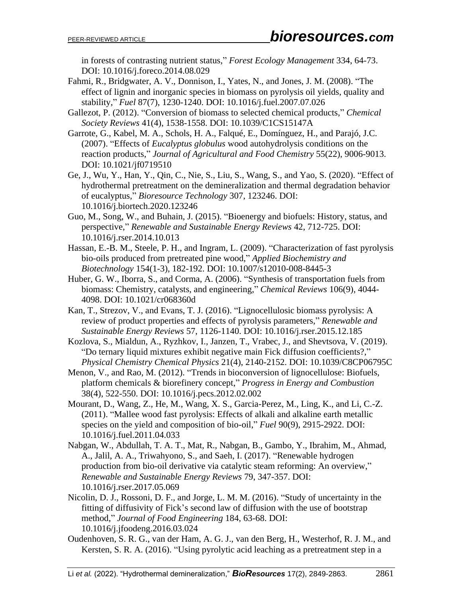in forests of contrasting nutrient status," *Forest Ecology Management* 334, 64-73. DOI: 10.1016/j.foreco.2014.08.029

- Fahmi, R., Bridgwater, A. V., Donnison, I., Yates, N., and Jones, J. M. (2008). "The effect of lignin and inorganic species in biomass on pyrolysis oil yields, quality and stability," *Fuel* 87(7), 1230-1240. DOI: 10.1016/j.fuel.2007.07.026
- Gallezot, P. (2012). "Conversion of biomass to selected chemical products," *Chemical Society Reviews* 41(4), 1538-1558. DOI: 10.1039/C1CS15147A
- Garrote, G., Kabel, M. A., Schols, H. A., Falqué, E., Domínguez, H., and Parajó, J.C. (2007). "Effects of *Eucalyptus globulus* wood autohydrolysis conditions on the reaction products," *Journal of Agricultural and Food Chemistry* 55(22), 9006-9013. DOI: 10.1021/jf0719510
- Ge, J., Wu, Y., Han, Y., Qin, C., Nie, S., Liu, S., Wang, S., and Yao, S. (2020). "Effect of hydrothermal pretreatment on the demineralization and thermal degradation behavior of eucalyptus," *Bioresource Technology* 307, 123246. DOI: 10.1016/j.biortech.2020.123246
- Guo, M., Song, W., and Buhain, J. (2015). "Bioenergy and biofuels: History, status, and perspective," *Renewable and Sustainable Energy Reviews* 42, 712-725. DOI: 10.1016/j.rser.2014.10.013
- Hassan, E.-B. M., Steele, P. H., and Ingram, L. (2009). "Characterization of fast pyrolysis bio-oils produced from pretreated pine wood," *Applied Biochemistry and Biotechnology* 154(1-3), 182-192. DOI: 10.1007/s12010-008-8445-3
- Huber, G. W., Iborra, S., and Corma, A. (2006). "Synthesis of transportation fuels from biomass: Chemistry, catalysts, and engineering," *Chemical Reviews* 106(9), 4044- 4098. DOI: 10.1021/cr068360d
- Kan, T., Strezov, V., and Evans, T. J. (2016). "Lignocellulosic biomass pyrolysis: A review of product properties and effects of pyrolysis parameters," *Renewable and Sustainable Energy Reviews* 57, 1126-1140. DOI: 10.1016/j.rser.2015.12.185
- Kozlova, S., Mialdun, A., Ryzhkov, I., Janzen, T., Vrabec, J., and Shevtsova, V. (2019). "Do ternary liquid mixtures exhibit negative main Fick diffusion coefficients?," *Physical Chemistry Chemical Physics* 21(4), 2140-2152. DOI: 10.1039/C8CP06795C
- Menon, V., and Rao, M. (2012). "Trends in bioconversion of lignocellulose: Biofuels, platform chemicals & biorefinery concept," *Progress in Energy and Combustion* 38(4), 522-550. DOI: 10.1016/j.pecs.2012.02.002
- Mourant, D., Wang, Z., He, M., Wang, X. S., Garcia-Perez, M., Ling, K., and Li, C.-Z. (2011). "Mallee wood fast pyrolysis: Effects of alkali and alkaline earth metallic species on the yield and composition of bio-oil," *Fuel* 90(9), 2915-2922. DOI: 10.1016/j.fuel.2011.04.033
- Nabgan, W., Abdullah, T. A. T., Mat, R., Nabgan, B., Gambo, Y., Ibrahim, M., Ahmad, A., Jalil, A. A., Triwahyono, S., and Saeh, I. (2017). "Renewable hydrogen production from bio-oil derivative via catalytic steam reforming: An overview," *Renewable and Sustainable Energy Reviews* 79, 347-357. DOI: 10.1016/j.rser.2017.05.069
- Nicolin, D. J., Rossoni, D. F., and Jorge, L. M. M. (2016). "Study of uncertainty in the fitting of diffusivity of Fick's second law of diffusion with the use of bootstrap method," *Journal of Food Engineering* 184, 63-68. DOI: 10.1016/j.jfoodeng.2016.03.024
- Oudenhoven, S. R. G., van der Ham, A. G. J., van den Berg, H., Westerhof, R. J. M., and Kersten, S. R. A. (2016). "Using pyrolytic acid leaching as a pretreatment step in a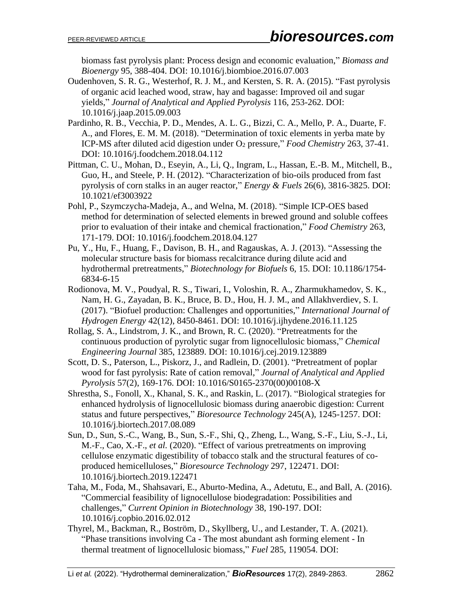biomass fast pyrolysis plant: Process design and economic evaluation," *Biomass and Bioenergy* 95, 388-404. DOI: 10.1016/j.biombioe.2016.07.003

- Oudenhoven, S. R. G., Westerhof, R. J. M., and Kersten, S. R. A. (2015). "Fast pyrolysis of organic acid leached wood, straw, hay and bagasse: Improved oil and sugar yields," *Journal of Analytical and Applied Pyrolysis* 116, 253-262. DOI: 10.1016/j.jaap.2015.09.003
- Pardinho, R. B., Vecchia, P. D., Mendes, A. L. G., Bizzi, C. A., Mello, P. A., Duarte, F. A., and Flores, E. M. M. (2018). "Determination of toxic elements in yerba mate by ICP-MS after diluted acid digestion under O<sup>2</sup> pressure," *Food Chemistry* 263, 37-41. DOI: 10.1016/j.foodchem.2018.04.112
- Pittman, C. U., Mohan, D., Eseyin, A., Li, Q., Ingram, L., Hassan, E.-B. M., Mitchell, B., Guo, H., and Steele, P. H. (2012). "Characterization of bio-oils produced from fast pyrolysis of corn stalks in an auger reactor," *Energy & Fuels* 26(6), 3816-3825. DOI: 10.1021/ef3003922
- Pohl, P., Szymczycha-Madeja, A., and Welna, M. (2018). "Simple ICP-OES based method for determination of selected elements in brewed ground and soluble coffees prior to evaluation of their intake and chemical fractionation," *Food Chemistry* 263, 171-179. DOI: 10.1016/j.foodchem.2018.04.127
- Pu, Y., Hu, F., Huang, F., Davison, B. H., and Ragauskas, A. J. (2013). "Assessing the molecular structure basis for biomass recalcitrance during dilute acid and hydrothermal pretreatments," *Biotechnology for Biofuels* 6, 15. DOI: 10.1186/1754- 6834-6-15
- Rodionova, M. V., Poudyal, R. S., Tiwari, I., Voloshin, R. A., Zharmukhamedov, S. K., Nam, H. G., Zayadan, B. K., Bruce, B. D., Hou, H. J. M., and Allakhverdiev, S. I. (2017). "Biofuel production: Challenges and opportunities," *International Journal of Hydrogen Energy* 42(12), 8450-8461. DOI: 10.1016/j.ijhydene.2016.11.125
- Rollag, S. A., Lindstrom, J. K., and Brown, R. C. (2020). "Pretreatments for the continuous production of pyrolytic sugar from lignocellulosic biomass," *Chemical Engineering Journal* 385, 123889. DOI: 10.1016/j.cej.2019.123889
- Scott, D. S., Paterson, L., Piskorz, J., and Radlein, D. (2001). "Pretreatment of poplar wood for fast pyrolysis: Rate of cation removal," *Journal of Analytical and Applied Pyrolysis* 57(2), 169-176. DOI: 10.1016/S0165-2370(00)00108-X
- Shrestha, S., Fonoll, X., Khanal, S. K., and Raskin, L. (2017). "Biological strategies for enhanced hydrolysis of lignocellulosic biomass during anaerobic digestion: Current status and future perspectives," *Bioresource Technology* 245(A), 1245-1257. DOI: 10.1016/j.biortech.2017.08.089
- Sun, D., Sun, S.-C., Wang, B., Sun, S.-F., Shi, Q., Zheng, L., Wang, S.-F., Liu, S.-J., Li, M.-F., Cao, X.-F., *et al.* (2020). "Effect of various pretreatments on improving cellulose enzymatic digestibility of tobacco stalk and the structural features of coproduced hemicelluloses," *Bioresource Technology* 297, 122471. DOI: 10.1016/j.biortech.2019.122471
- Taha, M., Foda, M., Shahsavari, E., Aburto-Medina, A., Adetutu, E., and Ball, A. (2016). "Commercial feasibility of lignocellulose biodegradation: Possibilities and challenges," *Current Opinion in Biotechnology* 38, 190-197. DOI: 10.1016/j.copbio.2016.02.012
- Thyrel, M., Backman, R., Boström, D., Skyllberg, U., and Lestander, T. A. (2021). "Phase transitions involving Ca - The most abundant ash forming element - In thermal treatment of lignocellulosic biomass," *Fuel* 285, 119054. DOI: